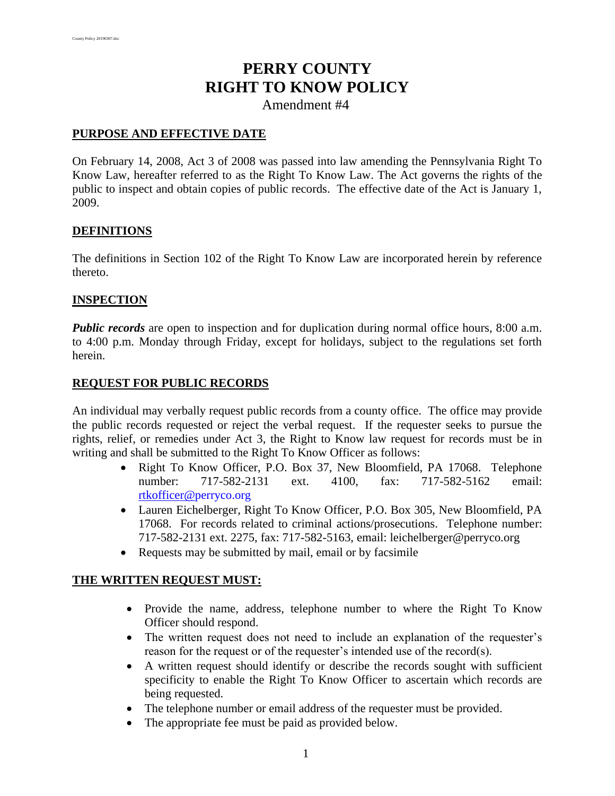# **PERRY COUNTY RIGHT TO KNOW POLICY**

Amendment #4

#### **PURPOSE AND EFFECTIVE DATE**

On February 14, 2008, Act 3 of 2008 was passed into law amending the Pennsylvania Right To Know Law, hereafter referred to as the Right To Know Law. The Act governs the rights of the public to inspect and obtain copies of public records. The effective date of the Act is January 1, 2009.

#### **DEFINITIONS**

The definitions in Section 102 of the Right To Know Law are incorporated herein by reference thereto.

#### **INSPECTION**

*Public records* are open to inspection and for duplication during normal office hours, 8:00 a.m. to 4:00 p.m. Monday through Friday, except for holidays, subject to the regulations set forth herein.

#### **REQUEST FOR PUBLIC RECORDS**

An individual may verbally request public records from a county office. The office may provide the public records requested or reject the verbal request. If the requester seeks to pursue the rights, relief, or remedies under Act 3, the Right to Know law request for records must be in writing and shall be submitted to the Right To Know Officer as follows:

- Right To Know Officer, P.O. Box 37, New Bloomfield, PA 17068. Telephone number: 717-582-2131 ext. 4100, fax: 717-582-5162 email: [rtkofficer@](mailto:rtkofficer@perryco.og)[perryco](mailto:rtkofficer@perryco.org)[.org](mailto:rtkofficer@perryco.og)
- Lauren Eichelberger, Right To Know Officer, P.O. Box 305, New Bloomfield, PA 17068. For records related to criminal actions/prosecutions. Telephone number: 717-582-2131 ext. 2275, fax: 717-582-5163, email: leichelberger@perryco.org
- Requests may be submitted by mail, email or by facsimile

#### **THE WRITTEN REQUEST MUST:**

- Provide the name, address, telephone number to where the Right To Know Officer should respond.
- The written request does not need to include an explanation of the requester's reason for the request or of the requester's intended use of the record(s).
- A written request should identify or describe the records sought with sufficient specificity to enable the Right To Know Officer to ascertain which records are being requested.
- The telephone number or email address of the requester must be provided.
- The appropriate fee must be paid as provided below.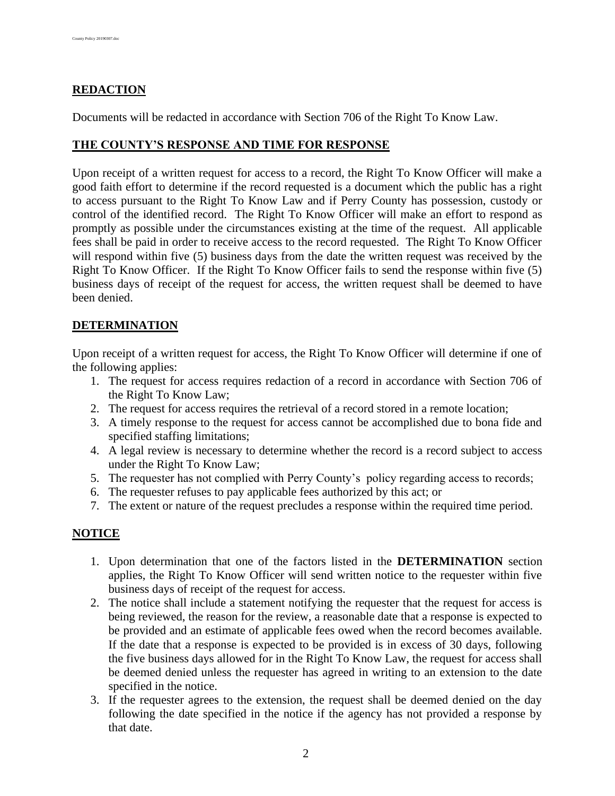# **REDACTION**

Documents will be redacted in accordance with Section 706 of the Right To Know Law.

#### **THE COUNTY'S RESPONSE AND TIME FOR RESPONSE**

Upon receipt of a written request for access to a record, the Right To Know Officer will make a good faith effort to determine if the record requested is a document which the public has a right to access pursuant to the Right To Know Law and if Perry County has possession, custody or control of the identified record. The Right To Know Officer will make an effort to respond as promptly as possible under the circumstances existing at the time of the request. All applicable fees shall be paid in order to receive access to the record requested. The Right To Know Officer will respond within five (5) business days from the date the written request was received by the Right To Know Officer. If the Right To Know Officer fails to send the response within five (5) business days of receipt of the request for access, the written request shall be deemed to have been denied.

#### **DETERMINATION**

Upon receipt of a written request for access, the Right To Know Officer will determine if one of the following applies:

- 1. The request for access requires redaction of a record in accordance with Section 706 of the Right To Know Law;
- 2. The request for access requires the retrieval of a record stored in a remote location;
- 3. A timely response to the request for access cannot be accomplished due to bona fide and specified staffing limitations;
- 4. A legal review is necessary to determine whether the record is a record subject to access under the Right To Know Law;
- 5. The requester has not complied with Perry County's policy regarding access to records;
- 6. The requester refuses to pay applicable fees authorized by this act; or
- 7. The extent or nature of the request precludes a response within the required time period.

#### **NOTICE**

- 1. Upon determination that one of the factors listed in the **DETERMINATION** section applies, the Right To Know Officer will send written notice to the requester within five business days of receipt of the request for access.
- 2. The notice shall include a statement notifying the requester that the request for access is being reviewed, the reason for the review, a reasonable date that a response is expected to be provided and an estimate of applicable fees owed when the record becomes available. If the date that a response is expected to be provided is in excess of 30 days, following the five business days allowed for in the Right To Know Law, the request for access shall be deemed denied unless the requester has agreed in writing to an extension to the date specified in the notice.
- 3. If the requester agrees to the extension, the request shall be deemed denied on the day following the date specified in the notice if the agency has not provided a response by that date.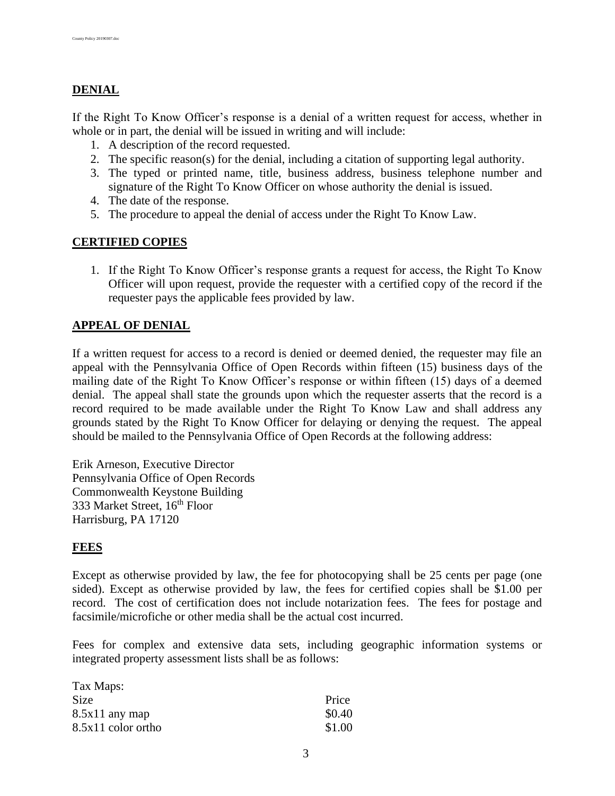# **DENIAL**

If the Right To Know Officer's response is a denial of a written request for access, whether in whole or in part, the denial will be issued in writing and will include:

- 1. A description of the record requested.
- 2. The specific reason(s) for the denial, including a citation of supporting legal authority.
- 3. The typed or printed name, title, business address, business telephone number and signature of the Right To Know Officer on whose authority the denial is issued.
- 4. The date of the response.
- 5. The procedure to appeal the denial of access under the Right To Know Law.

## **CERTIFIED COPIES**

1. If the Right To Know Officer's response grants a request for access, the Right To Know Officer will upon request, provide the requester with a certified copy of the record if the requester pays the applicable fees provided by law.

## **APPEAL OF DENIAL**

If a written request for access to a record is denied or deemed denied, the requester may file an appeal with the Pennsylvania Office of Open Records within fifteen (15) business days of the mailing date of the Right To Know Officer's response or within fifteen (15) days of a deemed denial. The appeal shall state the grounds upon which the requester asserts that the record is a record required to be made available under the Right To Know Law and shall address any grounds stated by the Right To Know Officer for delaying or denying the request. The appeal should be mailed to the Pennsylvania Office of Open Records at the following address:

Erik Arneson, Executive Director Pennsylvania Office of Open Records Commonwealth Keystone Building 333 Market Street, 16<sup>th</sup> Floor Harrisburg, PA 17120

#### **FEES**

Except as otherwise provided by law, the fee for photocopying shall be 25 cents per page (one sided). Except as otherwise provided by law, the fees for certified copies shall be \$1.00 per record. The cost of certification does not include notarization fees. The fees for postage and facsimile/microfiche or other media shall be the actual cost incurred.

Fees for complex and extensive data sets, including geographic information systems or integrated property assessment lists shall be as follows:

| Tax Maps:          |        |
|--------------------|--------|
| <b>Size</b>        | Price  |
| $8.5x11$ any map   | \$0.40 |
| 8.5x11 color ortho | \$1.00 |